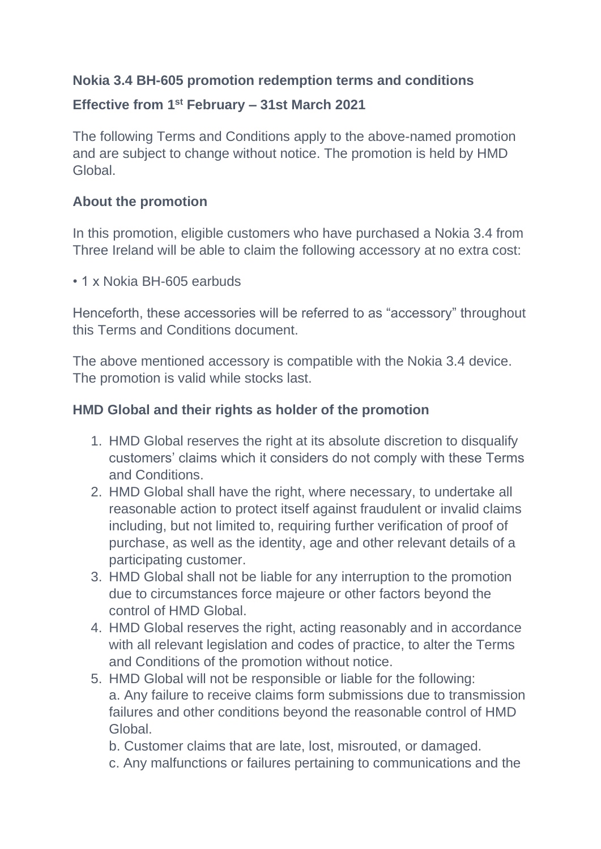## **Nokia 3.4 BH-605 promotion redemption terms and conditions**

## **Effective from 1 st February – 31st March 2021**

The following Terms and Conditions apply to the above-named promotion and are subject to change without notice. The promotion is held by HMD Global.

## **About the promotion**

In this promotion, eligible customers who have purchased a Nokia 3.4 from Three Ireland will be able to claim the following accessory at no extra cost:

• 1 x Nokia BH-605 earbuds

Henceforth, these accessories will be referred to as "accessory" throughout this Terms and Conditions document.

The above mentioned accessory is compatible with the Nokia 3.4 device. The promotion is valid while stocks last.

## **HMD Global and their rights as holder of the promotion**

- 1. HMD Global reserves the right at its absolute discretion to disqualify customers' claims which it considers do not comply with these Terms and Conditions.
- 2. HMD Global shall have the right, where necessary, to undertake all reasonable action to protect itself against fraudulent or invalid claims including, but not limited to, requiring further verification of proof of purchase, as well as the identity, age and other relevant details of a participating customer.
- 3. HMD Global shall not be liable for any interruption to the promotion due to circumstances force majeure or other factors beyond the control of HMD Global.
- 4. HMD Global reserves the right, acting reasonably and in accordance with all relevant legislation and codes of practice, to alter the Terms and Conditions of the promotion without notice.
- 5. HMD Global will not be responsible or liable for the following: a. Any failure to receive claims form submissions due to transmission failures and other conditions beyond the reasonable control of HMD Global.
	- b. Customer claims that are late, lost, misrouted, or damaged.
	- c. Any malfunctions or failures pertaining to communications and the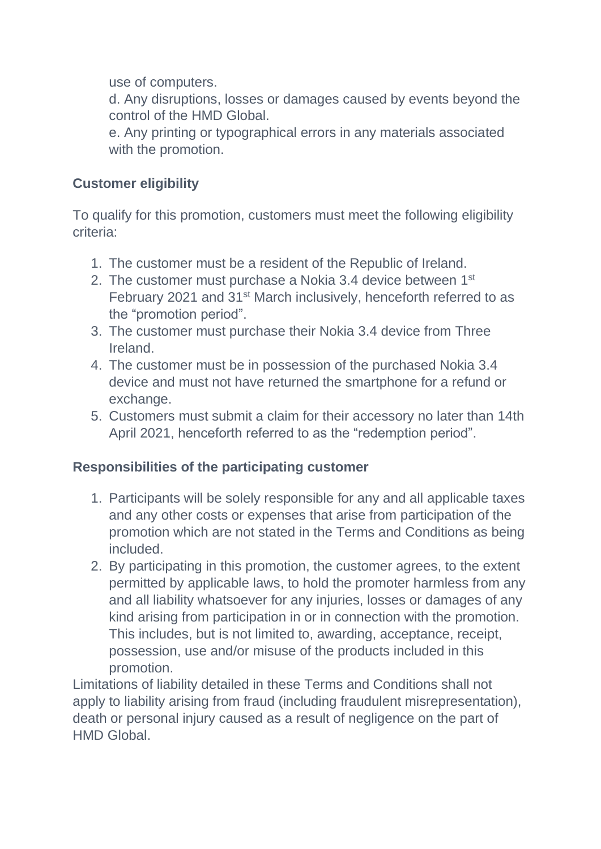use of computers.

d. Any disruptions, losses or damages caused by events beyond the control of the HMD Global.

e. Any printing or typographical errors in any materials associated with the promotion.

# **Customer eligibility**

To qualify for this promotion, customers must meet the following eligibility criteria:

- 1. The customer must be a resident of the Republic of Ireland.
- 2. The customer must purchase a Nokia 3.4 device between 1<sup>st</sup> February 2021 and 31<sup>st</sup> March inclusively, henceforth referred to as the "promotion period".
- 3. The customer must purchase their Nokia 3.4 device from Three Ireland.
- 4. The customer must be in possession of the purchased Nokia 3.4 device and must not have returned the smartphone for a refund or exchange.
- 5. Customers must submit a claim for their accessory no later than 14th April 2021, henceforth referred to as the "redemption period".

## **Responsibilities of the participating customer**

- 1. Participants will be solely responsible for any and all applicable taxes and any other costs or expenses that arise from participation of the promotion which are not stated in the Terms and Conditions as being included.
- 2. By participating in this promotion, the customer agrees, to the extent permitted by applicable laws, to hold the promoter harmless from any and all liability whatsoever for any injuries, losses or damages of any kind arising from participation in or in connection with the promotion. This includes, but is not limited to, awarding, acceptance, receipt, possession, use and/or misuse of the products included in this promotion.

Limitations of liability detailed in these Terms and Conditions shall not apply to liability arising from fraud (including fraudulent misrepresentation), death or personal injury caused as a result of negligence on the part of HMD Global.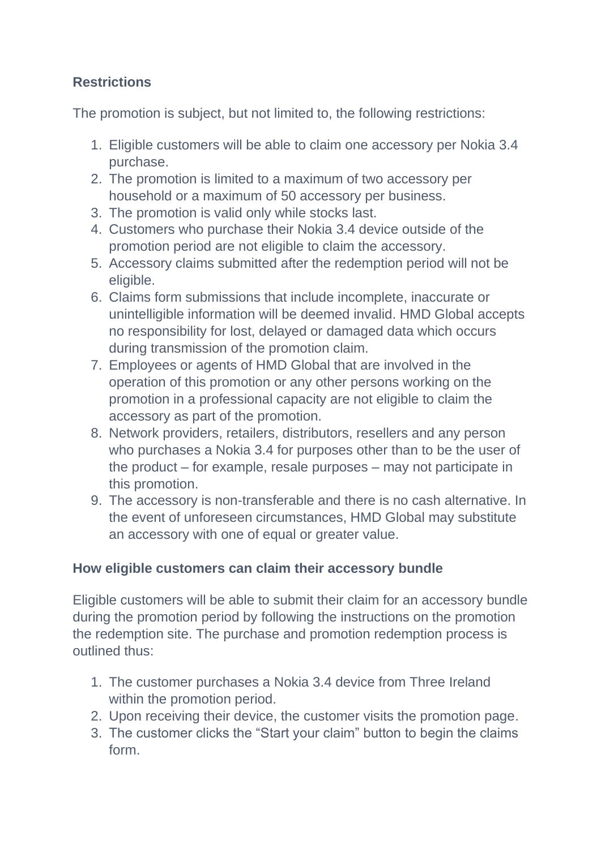# **Restrictions**

The promotion is subject, but not limited to, the following restrictions:

- 1. Eligible customers will be able to claim one accessory per Nokia 3.4 purchase.
- 2. The promotion is limited to a maximum of two accessory per household or a maximum of 50 accessory per business.
- 3. The promotion is valid only while stocks last.
- 4. Customers who purchase their Nokia 3.4 device outside of the promotion period are not eligible to claim the accessory.
- 5. Accessory claims submitted after the redemption period will not be eligible.
- 6. Claims form submissions that include incomplete, inaccurate or unintelligible information will be deemed invalid. HMD Global accepts no responsibility for lost, delayed or damaged data which occurs during transmission of the promotion claim.
- 7. Employees or agents of HMD Global that are involved in the operation of this promotion or any other persons working on the promotion in a professional capacity are not eligible to claim the accessory as part of the promotion.
- 8. Network providers, retailers, distributors, resellers and any person who purchases a Nokia 3.4 for purposes other than to be the user of the product – for example, resale purposes – may not participate in this promotion.
- 9. The accessory is non-transferable and there is no cash alternative. In the event of unforeseen circumstances, HMD Global may substitute an accessory with one of equal or greater value.

## **How eligible customers can claim their accessory bundle**

Eligible customers will be able to submit their claim for an accessory bundle during the promotion period by following the instructions on the promotion the redemption site. The purchase and promotion redemption process is outlined thus:

- 1. The customer purchases a Nokia 3.4 device from Three Ireland within the promotion period.
- 2. Upon receiving their device, the customer visits the promotion page.
- 3. The customer clicks the "Start your claim" button to begin the claims form.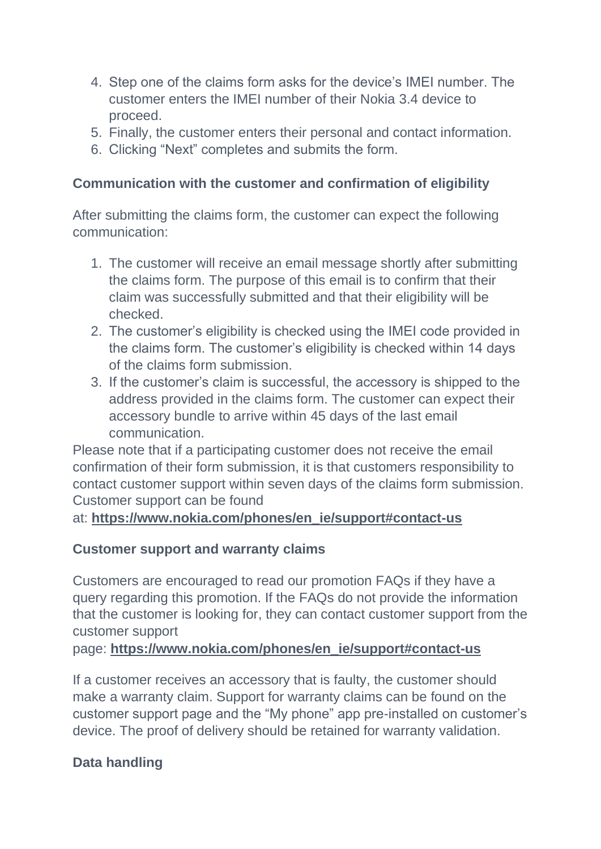- 4. Step one of the claims form asks for the device's IMEI number. The customer enters the IMEI number of their Nokia 3.4 device to proceed.
- 5. Finally, the customer enters their personal and contact information.
- 6. Clicking "Next" completes and submits the form.

#### **Communication with the customer and confirmation of eligibility**

After submitting the claims form, the customer can expect the following communication:

- 1. The customer will receive an email message shortly after submitting the claims form. The purpose of this email is to confirm that their claim was successfully submitted and that their eligibility will be checked.
- 2. The customer's eligibility is checked using the IMEI code provided in the claims form. The customer's eligibility is checked within 14 days of the claims form submission.
- 3. If the customer's claim is successful, the accessory is shipped to the address provided in the claims form. The customer can expect their accessory bundle to arrive within 45 days of the last email communication.

Please note that if a participating customer does not receive the email confirmation of their form submission, it is that customers responsibility to contact customer support within seven days of the claims form submission. Customer support can be found

at: **[https://www.nokia.com/phones/en\\_ie/support#contact-us](https://www.nokia.com/phones/en_ie/support#contact-us)**

## **Customer support and warranty claims**

Customers are encouraged to read our promotion FAQs if they have a query regarding this promotion. If the FAQs do not provide the information that the customer is looking for, they can contact customer support from the customer support

page: **[https://www.nokia.com/phones/en\\_ie/support#contact-us](https://www.nokia.com/phones/en_ie/support#contact-us)**

If a customer receives an accessory that is faulty, the customer should make a warranty claim. Support for warranty claims can be found on the customer support page and the "My phone" app pre-installed on customer's device. The proof of delivery should be retained for warranty validation.

## **Data handling**